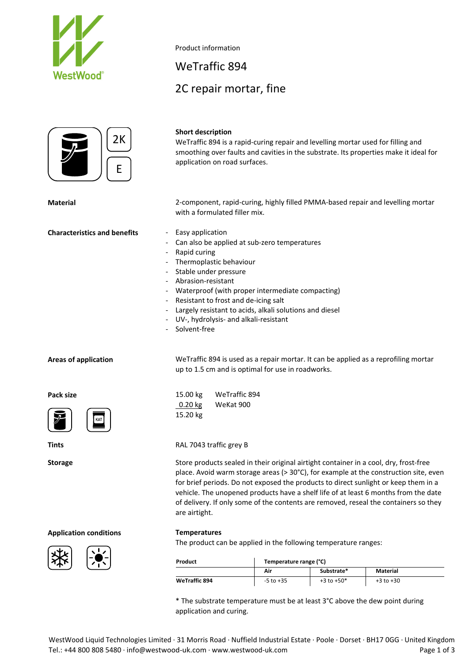



### **Short description**

Product information

WeTraffic 894

2C repair mortar, fine

WeTraffic 894 is a rapid‐curing repair and levelling mortar used for filling and smoothing over faults and cavities in the substrate. Its properties make it ideal for application on road surfaces.

**Material** 2‐component, rapid‐curing, highly filled PMMA‐based repair and levelling mortar with a formulated filler mix.

- 
- Can also be applied at sub-zero temperatures
- ‐ Rapid curing
- ‐ Thermoplastic behaviour
- Stable under pressure
- ‐ Abrasion‐resistant
- Waterproof (with proper intermediate compacting)
- ‐ Resistant to frost and de‐icing salt
- Largely resistant to acids, alkali solutions and diesel
- ‐ UV‐, hydrolysis‐ and alkali‐resistant
- ‐ Solvent‐free

**Pack size**





**Areas of application** WeTraffic 894 is used as a repair mortar. It can be applied as a reprofiling mortar up to 1.5 cm and is optimal for use in roadworks.

| 15.00 kg          | WeTraffic 894 |  |  |
|-------------------|---------------|--|--|
| $0.20 \text{ kg}$ | WeKat 900     |  |  |
| 15.20 kg          |               |  |  |

### **Tints** RAL 7043 traffic grey B

Storage Store products sealed in their original airtight container in a cool, dry, frost-free place. Avoid warm storage areas (> 30°C), for example at the construction site, even for brief periods. Do not exposed the products to direct sunlight or keep them in a vehicle. The unopened products have a shelf life of at least 6 months from the date of delivery. If only some of the contents are removed, reseal the containers so they are airtight.

# **Application conditions Temperatures**





The product can be applied in the following temperature ranges:

| Product              | Temperature range (°C) |                |                 |  |  |
|----------------------|------------------------|----------------|-----------------|--|--|
|                      | Air                    | Substrate*     | <b>Material</b> |  |  |
| <b>WeTraffic 894</b> | -5 to +35              | $+3$ to $+50*$ | $+3$ to $+30$   |  |  |

\* The substrate temperature must be at least 3°C above the dew point during application and curing.

**Characteristics and benefits** ‐ Easy application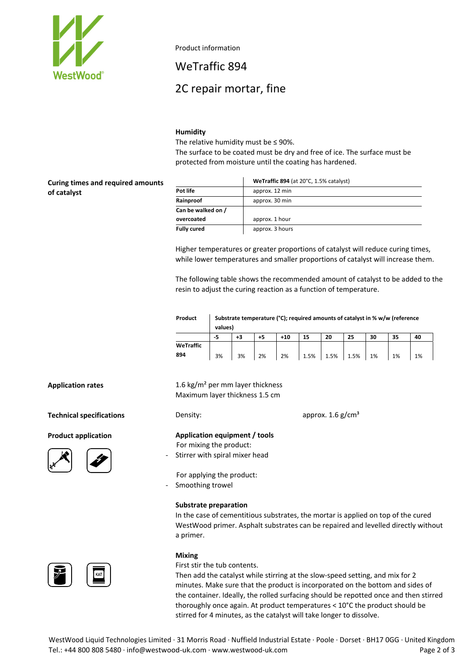

Product information

WeTraffic 894

# 2C repair mortar, fine

## **Humidity**

The relative humidity must be  $\leq$  90%.

The surface to be coated must be dry and free of ice. The surface must be protected from moisture until the coating has hardened.

**Curing times and required amounts of catalyst**

|                    | WeTraffic 894 (at 20°C, 1.5% catalyst) |
|--------------------|----------------------------------------|
| Pot life           | approx. 12 min                         |
| Rainproof          | approx. 30 min                         |
| Can be walked on / |                                        |
| overcoated         | approx. 1 hour                         |
| <b>Fully cured</b> | approx. 3 hours                        |

Higher temperatures or greater proportions of catalyst will reduce curing times, while lower temperatures and smaller proportions of catalyst will increase them.

The following table shows the recommended amount of catalyst to be added to the resin to adjust the curing reaction as a function of temperature.

| Product   | Substrate temperature (°C); required amounts of catalyst in % w/w (reference<br>values) |      |      |       |      |      |      |    |    |    |
|-----------|-----------------------------------------------------------------------------------------|------|------|-------|------|------|------|----|----|----|
|           | -5                                                                                      | $+3$ | $+5$ | $+10$ | 15   | 20   | 25   | 30 | 35 | 40 |
| WeTraffic |                                                                                         |      |      |       |      |      |      |    |    |    |
| 894       | 3%                                                                                      | 3%   | 2%   | 2%    | 1.5% | 1.5% | 1.5% | 1% | 1% | 1% |

**Technical specifications** Density: Density: approx. 1.6 g/cm<sup>3</sup>

**Product application**





<u>, 토</u>

**Application rates** 1.6 kg/m² per mm layer thickness Maximum layer thickness 1.5 cm

**Application equipment / tools** For mixing the product:

Stirrer with spiral mixer head

For applying the product: ‐ Smoothing trowel

#### **Substrate preparation**

In the case of cementitious substrates, the mortar is applied on top of the cured WestWood primer. Asphalt substrates can be repaired and levelled directly without a primer.

### **Mixing**

First stir the tub contents.

Then add the catalyst while stirring at the slow‐speed setting, and mix for 2 minutes. Make sure that the product is incorporated on the bottom and sides of the container. Ideally, the rolled surfacing should be repotted once and then stirred thoroughly once again. At product temperatures < 10°C the product should be stirred for 4 minutes, as the catalyst will take longer to dissolve.

WestWood Liquid Technologies Limited ∙ 31 Morris Road ∙ Nuffield Industrial Estate ∙ Poole ∙ Dorset ∙ BH17 0GG ∙ United Kingdom Tel.: +44 800 808 5480 ∙ info@westwood‐uk.com ∙ www.westwood‐uk.com Page 2 of 3